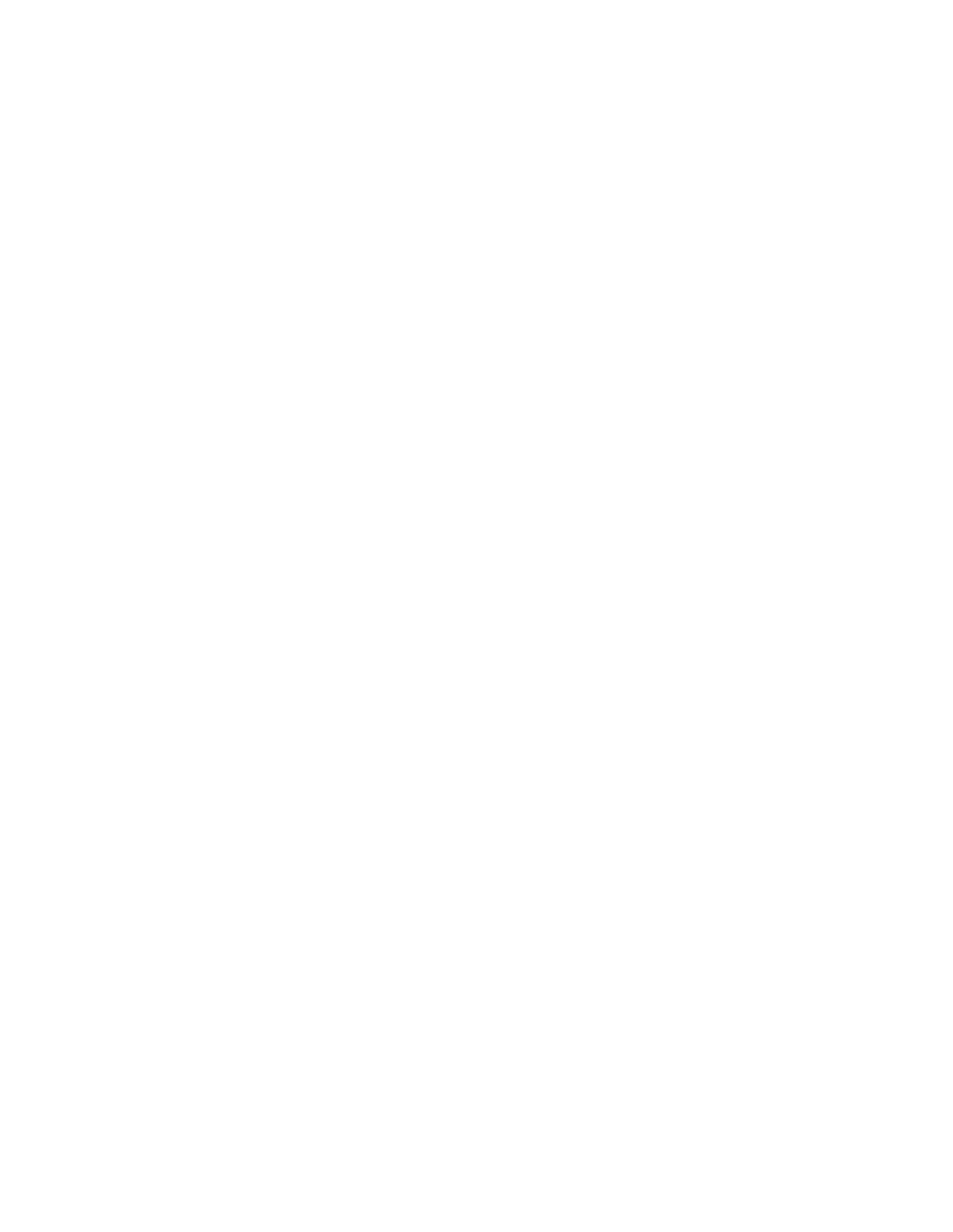### RESOLUTION NO. 2018-99

## A RESOLUTION OF THE CITY OF MARINA CITY COUNCIL APPROVING A COMBINED DEVELOPMENT PERMIT CONSISTING OF: 1) A CONDITIONAL USE PERMIT (UP 2016-06) FOR RESIDENTIAL DENSITY OVER 25 UNITS PER ACRE; 2) A 10% DENSITY BONUS AND A PROJECT INCENTIVE TO ALLOW A REDUCTION IN OPEN SPACE REQUIREMENTS 3) AN AFFORDABLE/INCLUSIONARY HOUSING PROPOSAL TO PROVIDE ONE AFFORDABLE HOUSING UNIT ON-SITE; AND, 4) SITE AND ARCHITECTURAL DESIGN REVIEW (DR 2016-04) FOR A NEW THREE-STORY, 10-UNIT APARTMENT COMPLEX; AT 264 CARMEL AVENUE (APN: 032-291-044)

WHEREAS, on July 29, 2016, Mr. John Filighera of U4Ric Investments submitted an application to demolish an existing single-family dwelling and to construct a new three-story tenunit apartment complex at 264 Carmel Avenue; and

WHEREAS, the property's General Plan land use designation for the property is Multi-Family Residential, allowing 15-35 dwelling units/acre, and the Zoning Designation is R-4 (Multiple Family Residential District);

WHEREAS, the overall project application is a Combined Development Permit consisting of:

- A Conditional Use Permit (CUP) (UP 2016-06) for a multiple family residential development with density over 25 units per acre (UPA);
- A 10% Density Bonus and a project incentive to allow a reduction in open space requirements.
- An Affordable/Inclusionary Housing Proposal to provide one affordable housing unit onsite; and,
- Site and Architectural Design Review (DR2016-04) for a new two-story, 10-unit apartment building;

WHEREAS, the property is located with the Downtown Vitalization area which is currently under a temporary moratorium on the issuance of Conditional Use Permits and any new or replaced square footage (initiated by the City Council on August 2, 2017 and extended until April 1, 2019); and,

WHEREAS, on August 2, 2017, the City Council exempted from the moratorium the project at 264 Carmel Avenue currently under review and described herein, because the project application was substantially complete and the applicant is not requesting a zoning ordinance or General Plan amendment, however, the exemption from the moratorium does not obligate the City to approve the project; and,

WHEREAS, on June 20, 2018, the Site and Architectural Design Review Board (DRB) considered the Site and Architectural Design Review portion (DR2016-04) of the Combined Development Permit and adopted a Resolution recommending Planning Commission approval of the site plan design and overall building layout (DRB Resolution No. 2018-04);

WHEREAS, on July 12, 2018, the Planning Commission of the City of Marina conducted a duly noticed public hearing to consider project, considered all public testimony, written and oral, presented at the public hearing and received and considered the written information and recommendation of the staff report for the July 12, 2018 meeting and adopted Resolution 2018- 13 recommending approval of the Combined Development Permit to the City Council;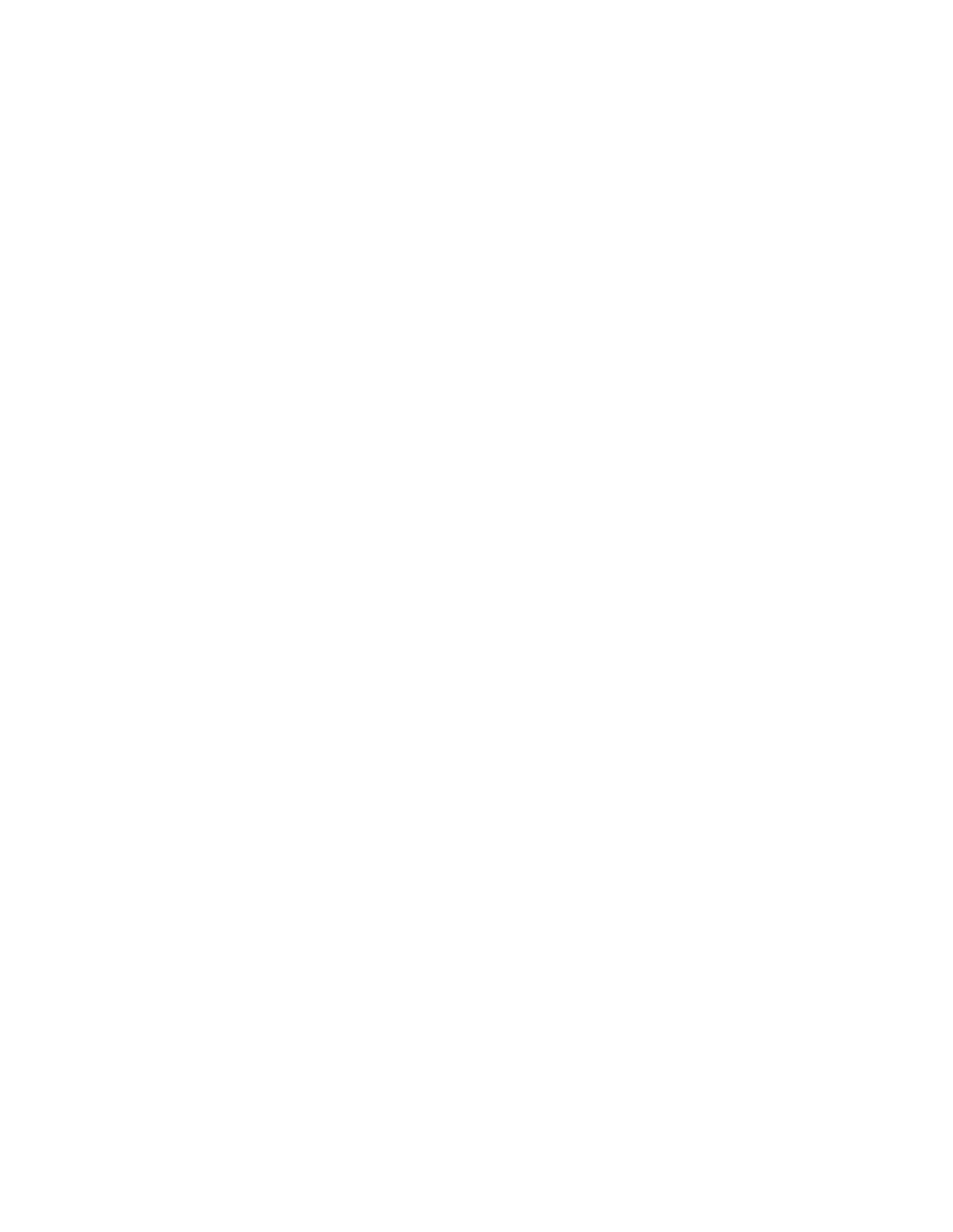Resolution No. 2018-99 Page Two

WHEREAS, on August 8, 2018, the City Council of the City of Marina conducted a duly noticed public hearing to consider the Combined Development Permit, considered all public testimony, written and oral, presented at the public hearing and received and considered the written information and recommendation of the staff report for the August 8, 2018 meeting related to the proposed project; and,

WHEREAS, the City of Marina Planning Division determined the project is exempt from the California Environmental Quality Act (CEQA) Guidelines (Article 12.5, Section 15195) applicable to residential infill developments that provides: less than 100 units; a project density above 20 units per acre; and at least 10% affordable housing. There is no reasonable possibility that the project will have a project-specific, significant effect on the environment due to unusual circumstances. No further environmental review is necessary.

NOW, THEREFORE BE IT RESOLVED by the City Council of the City of Marina that it hereby approves Combined Development Permit consisting of: 1) a Conditional Use Permit (UP 2016-06) for Residential Density over 25 Units Per Acre; 2) a 10% Density Bonus and a Project Incentive to Allow a Reduction in Open Space Requirements 3) an Affordable/Inclusionary Housing Proposal to Provide One Affordable Housing Unit On-site; and, 4) Site and Architectural Design Review (DR 2016-04) for a New Three-Story, 10-Unit Apartment Complex; at 264 Carmel Avenue (APN: 032-291-044) with the following findings and subject to the following conditions of approval:

## **Findings**

## *1. The project must be consistent with the General Plan and Zoning Ordinance.*

The project is consistent with the General Plan Land Use designation of Multi-family residential and the R-4 zoning designation in that the project proposes a multi-family development of more than 15 and less than 35 units per acre. The project is consistent with the General Plan and Zoning Ordinance as explained below.

## **General Plan - Community Goals**

General Plan Goal 1.17 states "The overall goal of the Marina General Plan is the creation of a community which provides a high quality of life for all its residents; which offers a broad range of housing, transportation, and recreation choices; and which conserves irreplaceable natural resources is the overall goal of the General Plan." Subsequent subgoals direct how the city is to develop in order to meet this goal as follows:

- Goal 1.18.5 calls for "A city designed for and attractive to pedestrians, in which most of the housing, shops, businesses, and community facilities are within easy walking distance of each other."
- Goal 1.18.8 envisions "A city physically and visually distinguish-able from the other communities of the Monterey Bay region, with a sense of place and identity in which residents can take pride."
- Goal 1.18.15 sees "Attractive, distinctive residential neighborhoods and commercial districts which contribute to the overall vitality, image and identity of the city.

# *Community Land Use Policies*

• Policy 2.4.5 "Future land development, whether it involves development of new areas, infilling of existing neighborhoods or commercial areas…shall be organized and have sufficient intensity…to create a pedestrian-oriented community."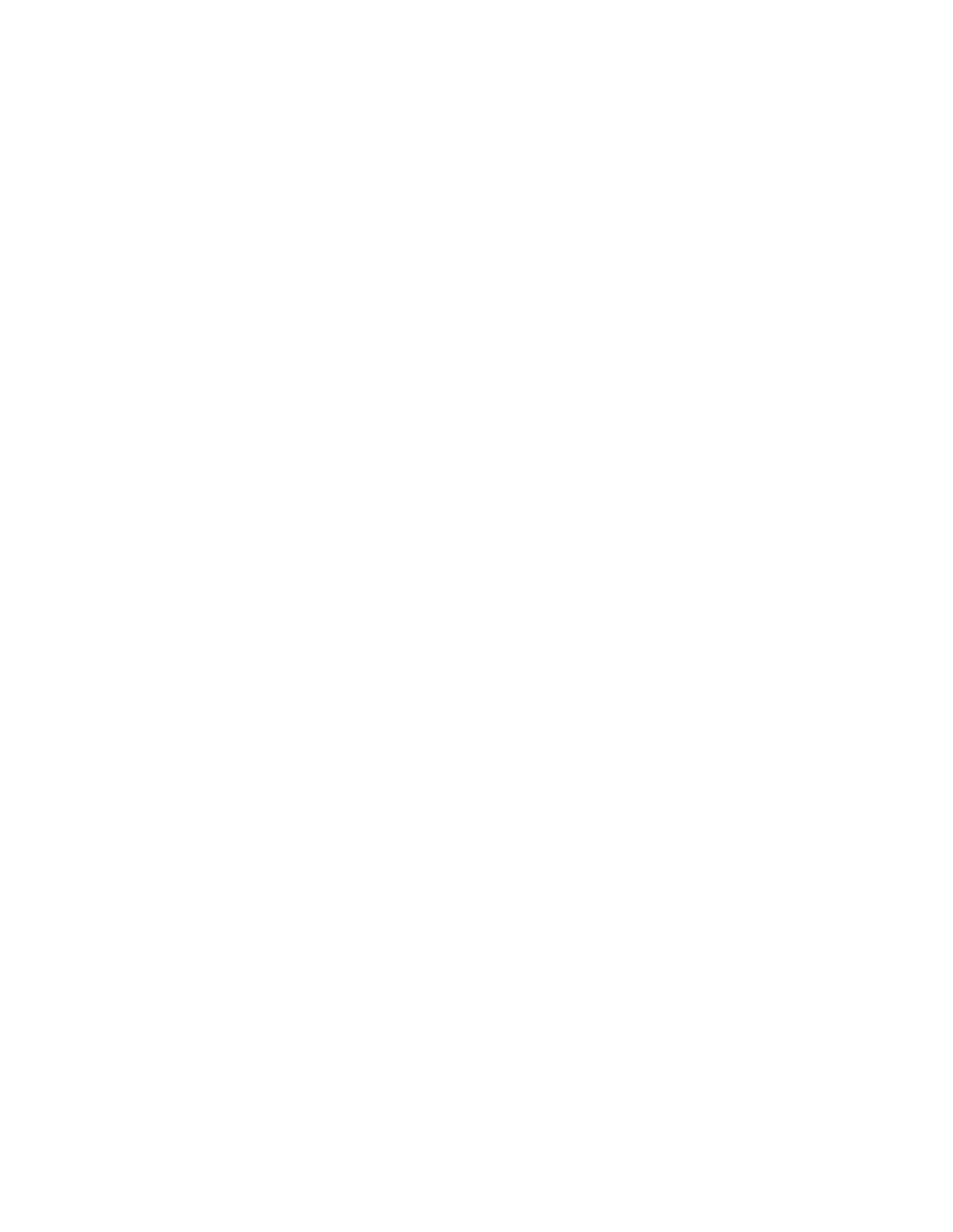## *Housing Policies*

- Policy 2.31.6 "New housing shall be constructed at densities and in patterns which conserve land, reduce reliance on the private automobile and result in walkable, attractive neighborhoods."
- Policy 2.31.8 "New housing shall be integrated into the fabric of the City in such a way that it complements existing housing areas and contributes to the overall stability, image, and sense of community of the City."

# **General Plan - Community Infrastructure**

# *Transit and Supportive Land Use Polices*

- Policy 3.35.1 "Safe and secure bicycle parking shall...be provided in all new multifamily residential projects."
- Policy 3.38.6 "Internal Circulation. Parking lots should be attractively landscaped and the pedestrian circulation paths clearly evident to provide direct, well lit, internal pedestrian circulation networks provided to building entrances, adjacent public rights-of-way and public transit.

The project meets the spirit and intent of the above goals and policies of the General Plan in that:

- a. The façade of the project is set back from the street as required by the development standards for the zoning district. To help to create a "street wall", the applicant has added additional height to one of the front buildings and a more human scale element in the bay projection and pedestal base.
- b. The project is oriented so that the building address the street. Although no entrances are directly off Carmel Avenue, covered porched and the bay projection gives the impression of a forward-facing façade. This helps to create an image of vitality that is gained with units that orient toward public spaces.
- c. The site plan and unit orientation enhances the desired pedestrian environment with the proposed entry courtyard that is physically separated from the vehicular driveway.
- d. Designated bike parking is provided.

# **Zoning Ordinance**

With approval of a density bonus incentive for open space, the project meets the requirements of the Zoning Ordinance as shown in the table above.

# *2. The project must be consistent with the Citywide Design Standards and Guidelines.*

The project is consistent with the Citywide Standards and Guidelines. In particular, a performance objective for sites and parking lots is that site and parking plans shall provide for adequate and safe pedestrian and vehicular traffic. An associated design guideline states:

*"With the exception of the portion of entrance drives in the street right-of-way and the intersections of pedestrian and vehicular traffic, driveways and parking areas shall be surrounded by a six (6) inch concrete curb or alternative approved by the Design Review Board that will separate pedestrian and vehicular movement and will help protect safety of pedestrians, landscape plantings and buildings or other site features which might be damaged by vehicular movements. Further, pedestrian movement should be separated from drives by landscaped strips a minimum width of four (4) feet."*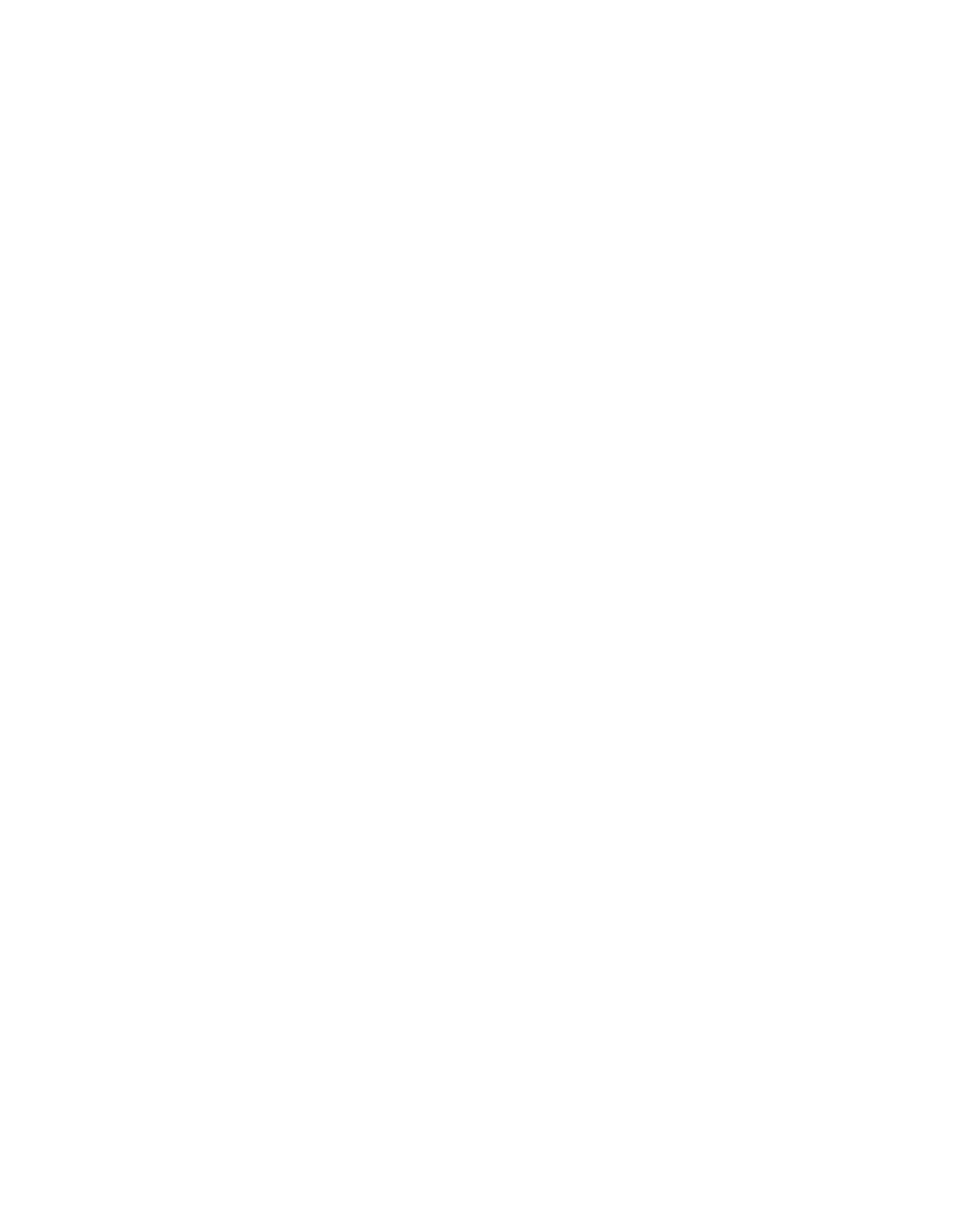Resolution No. 2018-99 Page Four

The project provides a buffer between the vehicle drive and the pedestrian entrance. Residents and visitors may enter the site safely from the sidewalk and also have a clear path from the carport and parking areas to the residences. Therefore, the project is consistent with this guideline that is intended to provide safety to pedestrians.

*3. The project must be designed and constructed, and so located, that the project will not be unsightly, undesirable or obnoxious in appearance to the extent that they will hinder the orderly and harmonious development of the city, impair the desirability of residence or investment or occupation in the city, limit the opportunity to obtain the optimum use and value of the land and improvements, impair the desirability of living conditions on or adjacent to the subject site, conform with the standards included in the local coastal land use plan and/or otherwise adversely affect the general welfare of the community.*

This project will set an example for future multifamily development in the City of Marina by way of enhanced design, pedestrian instead of vehicular orientation and resident amenities.

## **Conditions of Approval**

1. Substantial Compliance – The project shall be constructed in substantial compliance with the plans dated April 30, 2018 attached hereto as **"ATTACHMENT 1"**, except as conditioned herein.

2. Site and Architectural Design Review Board Condition – Prior to the issuance of building permits, the applicant shall revise the plans for staff review and approval as follows:

- a. Submit revised colors that show a more neutral body color;
- b. Confirm that the color of the doors is compatible with the revised body color;
- c. Verify that the turn radii are complaint for all parking spaces; and,
- d. Locate all curbs and truncated domes on site plans.

3. Permit Expiration (City Council) - This permit will expire 24 months from the date of approval by the City Council, unless a valid building permit has been issued and construction of the project has commenced prior to expiration. The applicant may apply for an extension of this permit, by submitting an extension request application and applicable fees, no less than 30 days prior to expiration date. No renewal notice will be sent to the applicant or property owner.

4. Cultural Resources – Negative Archaeological Report – If during the course of construction, cultural, archaeological, historical, or paleontological resources are uncovered at the site (surface or subsurface resources) work shall be halted immediately within 50 meters (165 feet) of the find until a qualified professional archaeologist can evaluate it. The City of Marina and a qualified archaeologist (i.e. an archaeologist registered with the Register of Professional Archaeologists) shall be immediately contacted by the responsible individual present on-site. When contact, the project planner and the archaeologist shall immediately visit the site to determine the extent of the resources and to develop proper measures required for the discovery.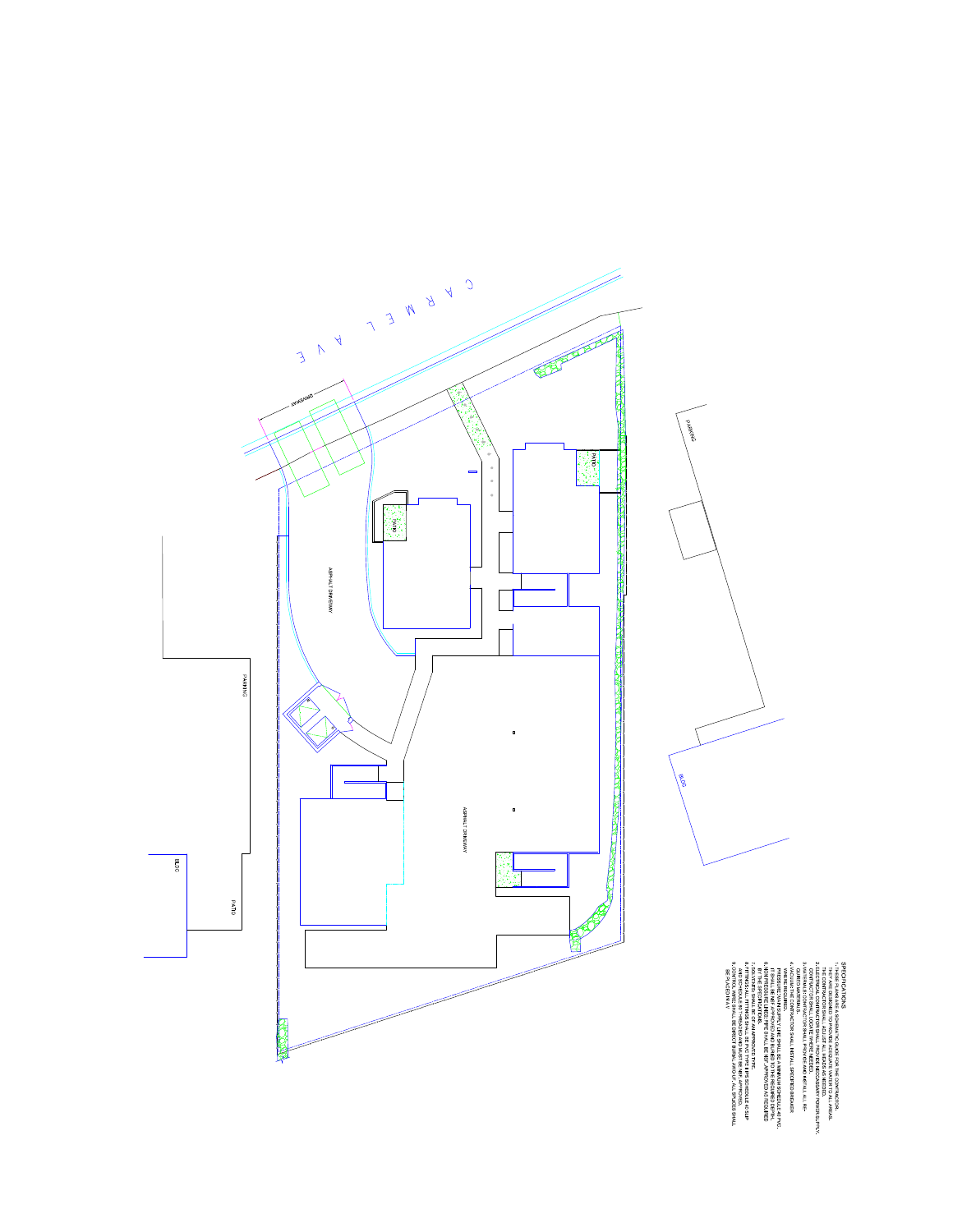5. Lighting – Exterior Lighting Plan – All exterior lighting shall be unobtrusive, down-lit, harmonious with the local area, and constructed or located so that only the intended area is illuminated and off-site glare is fully controlled. Prior to issuance of a building permit, the Owner/Applicant, shall submit three (3) copies of an exterior lighting plan which shall indicate the location, type, and wattage of all light fixtures and include catalog sheet for each fixture. The lighting shall comply with the requirement of the California Energy Code set forth in California Code of Regulation, Title 24, Part 6. The exterior lighting plan shall be subject to approval by the Director of Community Development-Planning or designee.

6. Utilities–Underground – All new utility and distribution lines shall be placed underground.

7. Preconstruction Meeting – Prior to the commencement of any grading or construction activities, a preconstruction meeting shall be held on the site. The meeting shall include representative of each of the selected contractors, any consultant who will conduct required monitoring, the owner/applicant, Community Development-Planning, Community Development-Building, Engineering, Marina Fire, and/or any other appropriate departments/agency. The purpose of the meeting is to review the conditions of approval that are applicable to the grading and construction of the development.

8. Indemnification – The Owner/Applicant shall agree as a condition of approval of this project to defend, at its sole expense, indemnify and hold harmless from any liability, the City and reimburse the City for any expenses incurred resulting from, or in connection with, the approval of this project, including any appeal, claim, suit or legal proceeding. The City may, at its sole discretion, participate in the defense of any such action, but such participation shall not relieve the application of its obligations under this condition.

9. Affordable Housing Agreement/Program – Prior to issuance of the first construction permit, the Owner/Applicant shall development, sign, notarize and record an Affordable Housing Agreement with the City of Marina. Such agreement shall clearly identify the number of affordable units, the income level of affordability (low income), the estimated rent to be collected for each unit, and the term (length) of all affordability restrictions. The Agreement shall be prepared in conformance with the requirements of the Marina Municipal Code.

10. Fire Department – Marina Fire Department standard conditions shall be implemented to the satisfaction of the Fire Chief.

11. Landscape Surety Bond – Prior to the issuance of a building permit, the applicant shall provide a bond or other surety acceptable to the City to guarantee that the installed landscaping shall remain in a healthy and growing condition for a minimum of two years from the date of occupancy approval. The amount of the surety shall be a minimum of ten percent of the actual or estimated costs of the installation accepted by the Planning Services Division. An amount greater than ten percent may be required by the Planning Services Division if more exotic, less reliable plant material is specified in the approved planting plan. Two years after the approval of occupancy, the applicant shall contact the Planning Services Division to arrange for an inspection of the landscaping. If or when all landscaping shown on the approved plans is in place and is in healthy and growing condition, the surety shall be returned to the entity that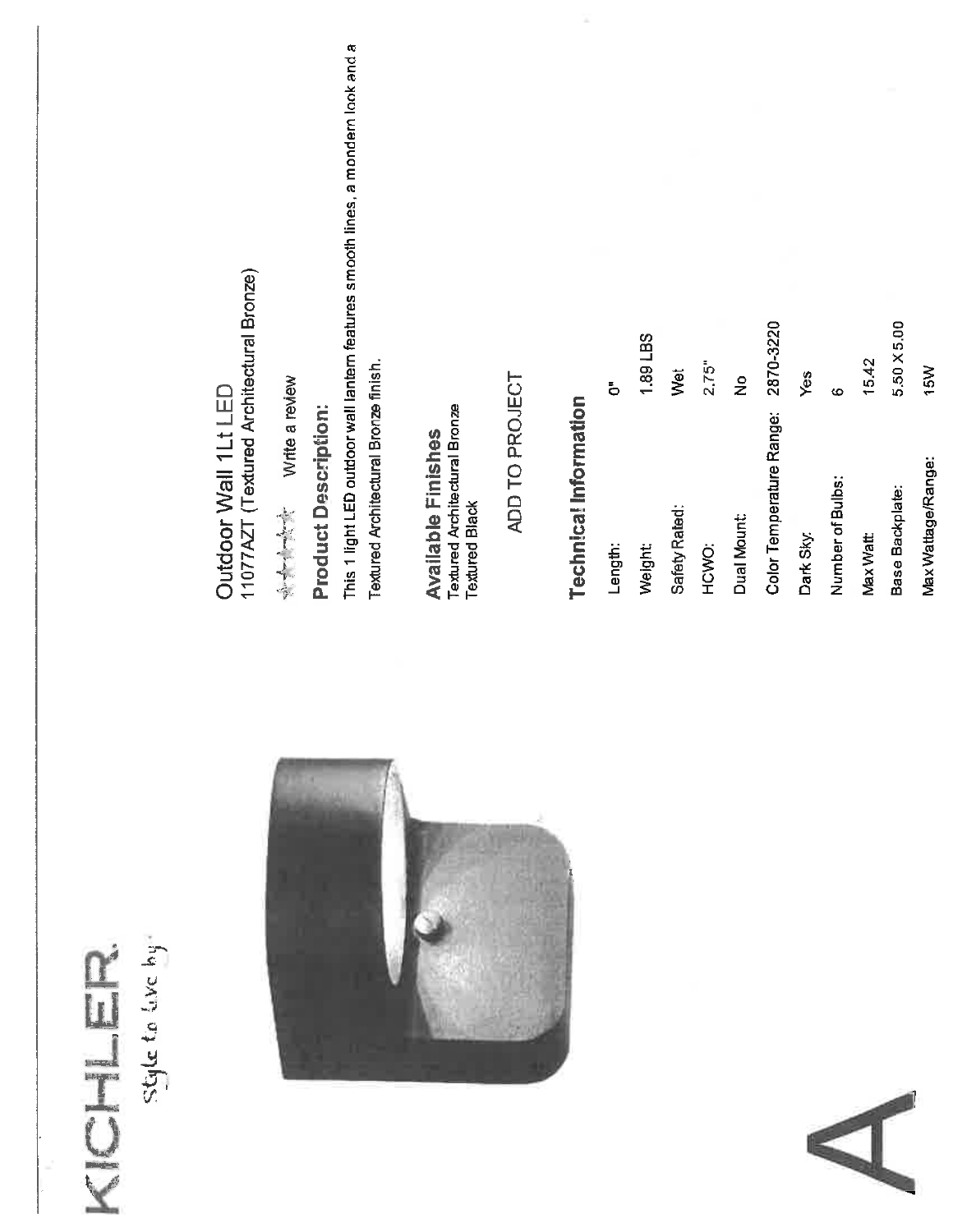Resolution No. 2018-99 Page Six

12. provided the surety or to another entity upon proof of transfer. If plant material is dead, dying or missing and the applicant does not take steps to restore the landscaping, the City shall have the authority to use the surety for the restoration of the landscaping.

13. Fees – That any outstanding balance in the project's fee account shall be paid prior to the issuance of a Building or Grading Permit.

PASSED AND ADOPTED by the City Council of the City of Marina at a regular meeting duly held on the  $21<sup>st</sup>$  day of August 2018, by the following vote:

 $\frac{1}{2}$  , and the set of the set of the set of the set of the set of the set of the set of the set of the set of the set of the set of the set of the set of the set of the set of the set of the set of the set of the set

AYES, COUNCIL MEMBERS: Amadeo, Morton, O'Connell, Delgado NOES, COUNCIL MEMBERS: None ABSENT, COUNCIL MEMBERS: Brown ABSTAIN, COUNCIL MEMBERS: None

ATTEST:

Bruce Delgado, Mayor

\_\_\_\_\_\_\_\_\_\_\_\_\_\_\_\_\_\_\_\_\_\_\_\_ Anita Sharp, Deputy City Clerk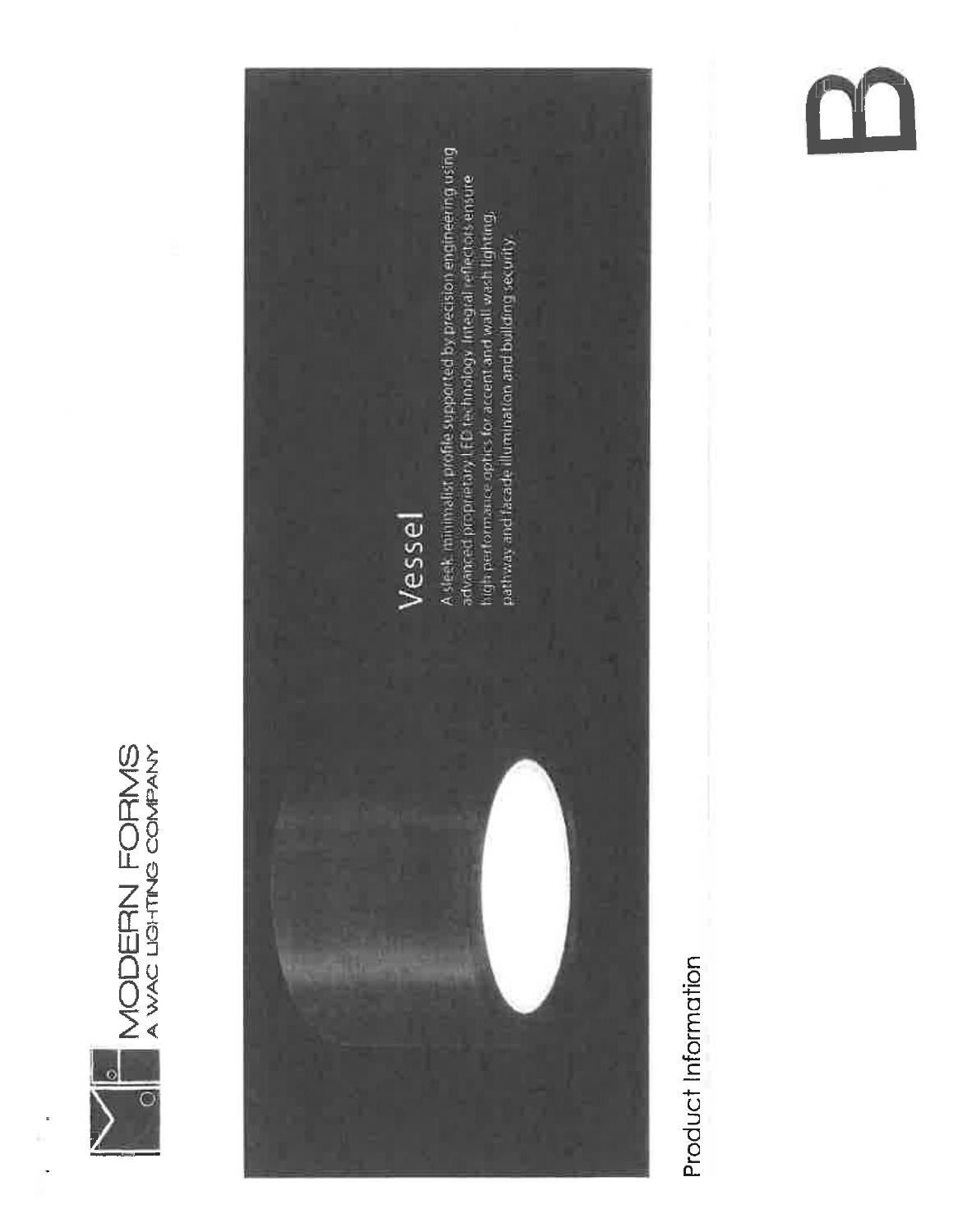July 26, 2018 Item No. **9a**

Honorable Mayor and Members City Council Meeting<br>of the Marina City Council defines the Marina City Council Meeting<br>of August 8, 2018 of the Marina City Council

**REQUEST TO OPEN A PUBLIC HEARING, TAKE TESTIMONY FROM THE PUBLIC AND CONSIDER ADOPTING A RESOLUTION APPROVING A COMBINED DEVELOPMENT PERMIT CONSISTING OF: 1) A CONDITIONAL USE PERMIT (UP 2016-06) FOR RESIDENTIAL DENSITY OVER 25 UNITS PER ACRE; 2) A 10% DENSITY BONUS AND A PROJECT INCENTIVE TO ALLOW A REDUCTION IN OPEN SPACE REQUIREMENTS 3) AN AFFORDABLE/INCLUSIONARY HOUSING PROPOSAL TO PROVIDE ONE AFFORDABLE HOUSING UNIT ON-SITE; AND, 4) SITE AND ARCHITECTURAL DESIGN REVIEW (DR 2016-04) FOR A NEW THREE-STORY, 10-UNIT APARTMENT COMPLEX; AT 264 CARMEL AVENUE (APN: 032-291-044). EXEMPT FROM CEQA PER ARTICLE 19, SECTION 15195**

### **RECOMMENDATION:**

The City Council takes the following action:

1) Adopt Resolution No. 2018-, approving Combined Development Permit consisting of: 1) a Conditional Use Permit (UP 2016-06) for Residential Density over 25 Units Per Acre; 2) a 10% Density Bonus and a Project Incentive to Allow a Reduction in Open Space Requirements 3) an Affordable/Inclusionary Housing Proposal to Provide One Affordable Housing Unit On-site; and, 4) Site and Architectural Design Review (DR 2016-04) for a New Three-Story, 10-Unit Apartment Complex; at 264 Carmel Avenue (APN: 032-291-044).

## **BACKGROUND:**



*Location and Vicinity:* The 11,011 square foot (.25 acre) site is located on the south side of Carmel Avenue at the intersection of Carmel and Seacrest Avenues and contains a small one story building that was formerly used as a plant nursery. The property is surrounded by a commercial building to the north, apartments to the east and west and single family to the south.

*General Plan and Zoning:* The General Plan Land Use Designation for the property is Multi-Family Residential, allowing 15-35 dwelling units/acre. The Zoning Designation is R-4 Multiple Family Residential District. Multiple dwellings and dwelling groups not exceeding twenty-five units per acre are permitted uses in this district and 26-35 units

per acre can be permitted with the issuance of a Conditional Use Permit. A Density Bonus of up to 35% of the base number of units can be approved if the project provides a certain percentage of affordable units. Site Plan and Architectural Design Review is required for projects that include more than one dwelling unit on a single parcel.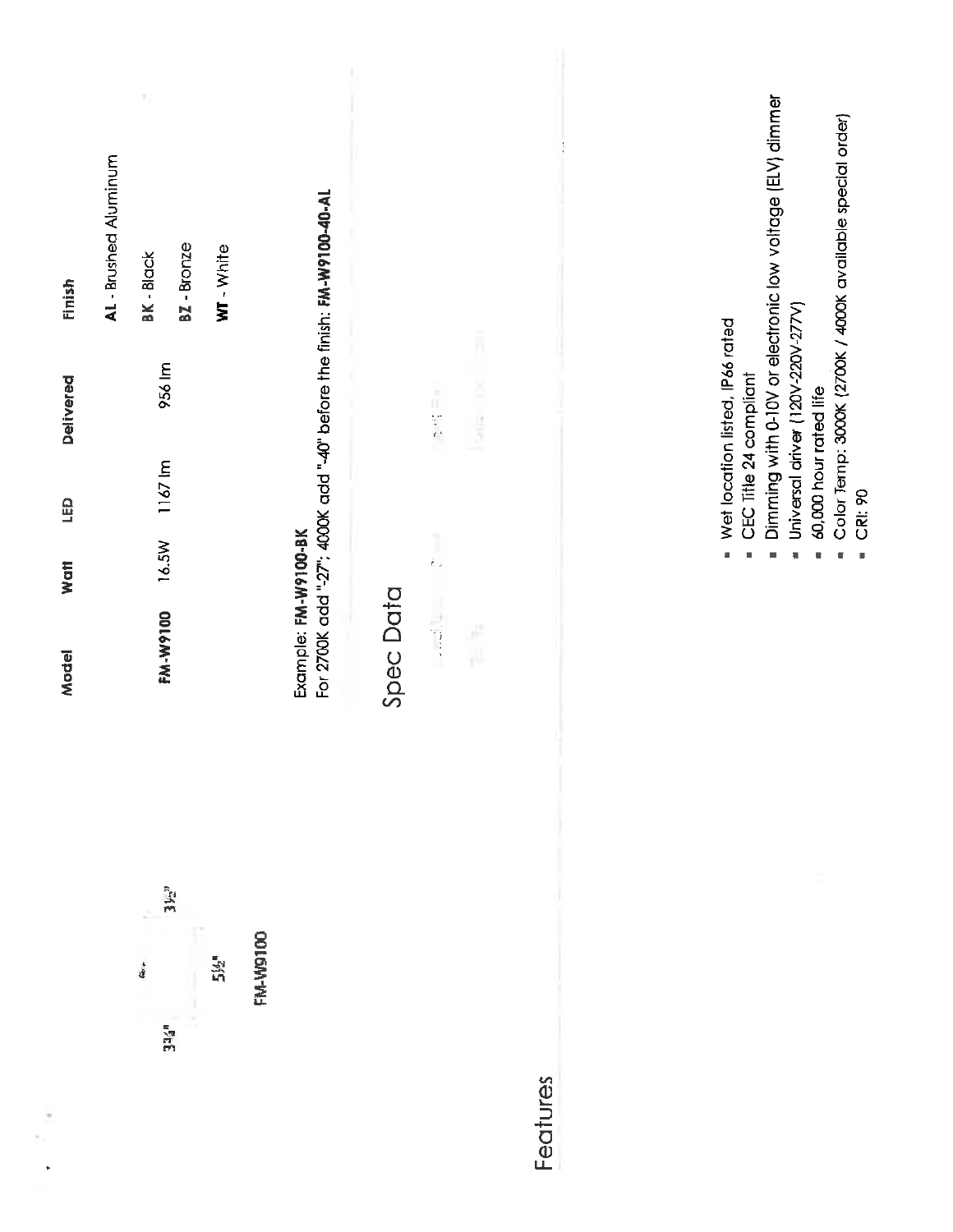The property is located with the Downtown Vitalization area which is currently under a temporary moratorium on the issuance of Conditional Use Permits and any new or replaced square footage (initiated by the City Council on August 2, 2017 and extended until April 1, 2019). The moratorium is an urgency measure to limit development within the planning area that may conflict with the City's efforts to create a plan that will define the desired uses, circulation patterns, block standards and site and building development standards and guidelines within the downtown area. During this period, Planning Division staff will also be developing design standards for multifamily residential developments.

On August 2, 2017, the City Council exempted from the moratorium the project at 264 Carmel Avenue currently under review and described below, because the project application was substantially complete and the applicant is not requesting a zoning ordinance or General Plan amendment. The exemption from the moratorium does not obligate the City to approve the project.

### *Project History*

On July 29, 2016, Mr. John Filighera of U4Ric Investments submitted an application to demolish an existing single-family dwelling and to construct a new two-story eight-unit apartment complex at 264 Carmel Avenue.

Due to General Plan consistency concerns, staff recommended that the DRB recommend that the Planning Commission deny the project. However, at the regular meeting on February 7, 2018, the DRB considered the application and recommended approval the project with special conditions for redesign.

Following the February 7, 2018 DRB meeting, the application was scheduled for the Planning Commission meeting of March 22, 2018. The applicant requested that the application be tabled so that they may redesign the project to more closely align with the General Plan and to gain a positive recommendation from staff.

The revised project modified the unit count from eight to ten units, increased the height from two to three stories and includes a request for a density bonus and a project incentive in exchange for the provision of one affordable housing unit.

On June 20, 2018, the Design Review Board (DRB) considered the revised Site and Architectural Design Review portion (DR2016-04) of the Combined Development Permit and adopted a Resolution 2018-04 recommending Planning Commission approval of the site plan design and overall building layout with minor revisions.

On July 12, 2018, the Planning Commission (PC) considered the project in its entirety, and adopted Resolution 2018-13, recommending that the city council adopt a resolution to approve a Combined Development Permit consisting of: 1) a Conditional Use Permit (UP 2016-06) for residential density over 25 units per acre; 2) a 10% Density Bonus and a project incentive to allow a reduction in Open Space requirements 3) an Affordable/Inclusionary Housing Proposal to provide one affordable housing unit on-site; and, 4) Site and Architectural Design Review (DR 2016-04) for a new three-story, 10-unit apartment complex on the project site (**EXHIBIT 2**).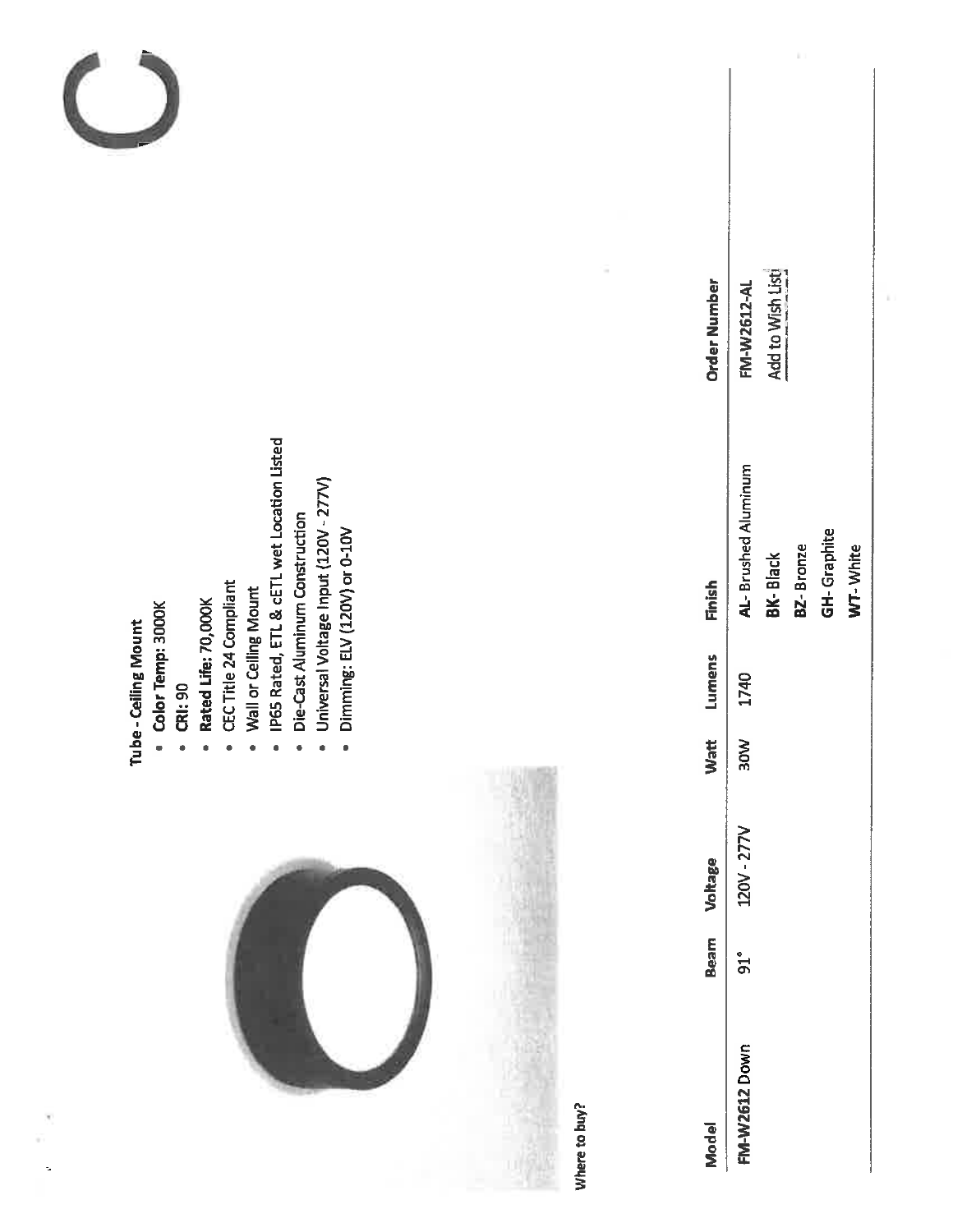# **ANALYSIS**

The overall project application is a combined application consisting of:

- A Conditional Use Permit (CUP) (UP 2016-06) for a multiple family residential development with density over 25 units per acre (UPA);
- A 10% Density Bonus and a project incentive to allow a reduction in open space requirements.
- An Affordable/Inclusionary Housing Proposal to provide one affordable housing unit onsite; and,
- Site and Architectural Design Review (DR2016-04) for a new two-story, 10-unit apartment building.

The applicant's current proposal includes a ten-unit apartment complex with one three-story building and one two-story building at the front of the site facing Carmel Avenue at a density of 35 UPA (The density calculation is based on 9 units. The  $10<sup>th</sup>$  unit would be granted as a density bonus and cannot be counted as a unit for density calculations per state law.) All of the apartments are one-bedroom. Between the two buildings is an entry courtyard that leads to two additional buildings in the rear, parking and a laundry room and secure bicycle parking. The entry driveway is at the west side of the site and provides separation from the pedestrian movements.

Building A is three stories and contains one 554 square foot (SF) unit on the first floor at the Carmel Avenue frontage with a carport at the rear. The upper floors are accessed by a central stairway off the entry courtyard. The second third floors contain one 554 SF unit and two 541 SF units, respectively, for a total of seven units in Building A. Secondary egress via a staircase is located at the rear of the building.

Building B is two stories and contains two stacked 554 SF units. The access to the units is via the entry courtyard on the first floor and a bridge from Building A on the second floor.

Building C is located toward the rear of the lot. The two-story structure contains a carport on the first floor and a 541 SF unit on the second floor. The unit is accessed via an exterior staircase. Summary of site statistics:

| <b>Zoning</b><br><b>Standards</b> | <b>Standard</b>           | <b>Proposed</b>                  | <b>Consistency</b><br><b>Determination</b> |
|-----------------------------------|---------------------------|----------------------------------|--------------------------------------------|
| Residential                       | 25 Units per Acre (UPA)   | 9 units $+1$ unit $= 10$ units   | Consistent                                 |
| Density                           | Up to 35 UPA with         |                                  |                                            |
|                                   | Conditional Use Permit -  | Applicant is requesting a 10%    |                                            |
|                                   | 9 units                   | density bonus as permitted by    |                                            |
|                                   |                           | state law                        |                                            |
| <b>Building</b>                   | Front 12 feet             | Front 15 feet                    | Consistent                                 |
| <b>Setbacks</b>                   | Rear 20 feet              | Rear                             |                                            |
|                                   | Staircases $-6$ feet into | 20 feet<br>Building              | Consistent                                 |
|                                   | rear setback              | Staircase<br>$4\frac{1}{2}$ feet | Consistent                                 |
|                                   |                           | rear setback<br>into             |                                            |
|                                   | Sides 5 feet              |                                  |                                            |
|                                   |                           | Sides 5 feet                     | Consistent                                 |
|                                   |                           |                                  |                                            |
| Height                            | 42 feet                   | 31 feet                          | Consistent                                 |
|                                   | 3 stories                 | 3 stories                        | Consistent                                 |
|                                   |                           |                                  |                                            |
|                                   |                           |                                  |                                            |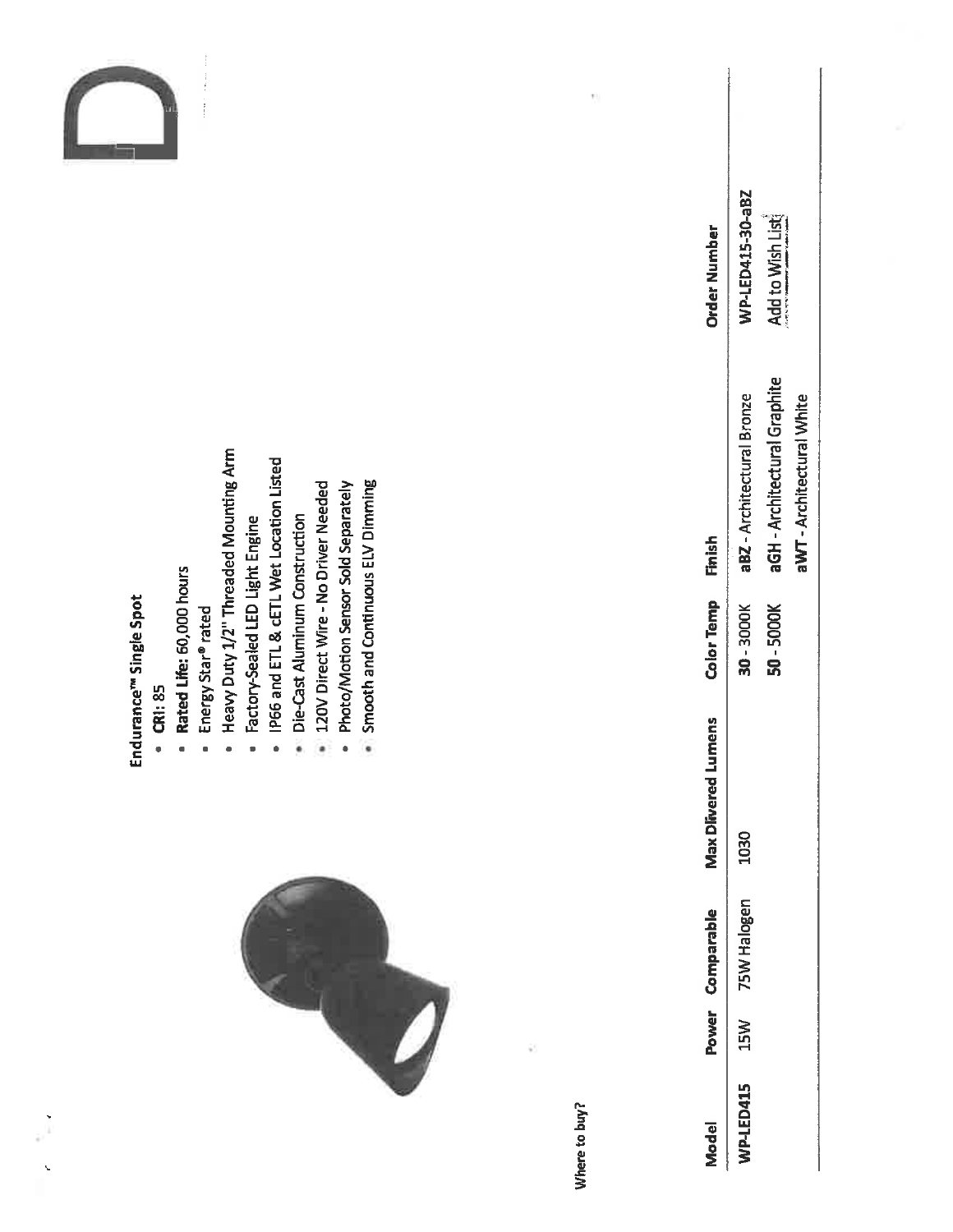| Open Space                  | 350 SF per unit (3500 SF)<br>(Total Common and<br>Private)<br>$1st$ Floor - Min. 80 SF<br>private<br>$2nd$ Floor – Min. 40 SF<br>private                                                                                                                   | Common Open Space -<br>Total required - 2991 SF<br><b>Total provided - 2157 SF</b><br>Private Open Space -<br>$1st$ floor units – 86.5 SF each<br>$2nd/3rd$ floor units $-42$ SF each<br><b>NOTE:</b> Project requests<br>reduction in required open<br>space as a project incentive for<br>providing "Low Income"<br>housing. | <b>Consistent -</b><br>with approval<br>of Density<br><b>Bonus</b><br>Consistent<br>Consistent |
|-----------------------------|------------------------------------------------------------------------------------------------------------------------------------------------------------------------------------------------------------------------------------------------------------|--------------------------------------------------------------------------------------------------------------------------------------------------------------------------------------------------------------------------------------------------------------------------------------------------------------------------------|------------------------------------------------------------------------------------------------|
| <b>Building</b><br>Coverage | 60% of lot area<br>6606.6 SF                                                                                                                                                                                                                               | 28% - 3084 SF                                                                                                                                                                                                                                                                                                                  | Consistent                                                                                     |
| Parking                     | <b>Without Density Bonus</b><br>Marina Municipal Code -<br>1 space per unit if within<br>1/4 of transit center and<br>min. $25 \text{ UPA} - 10 \text{ spaces}$<br>$+2$ visitor spaces or 12<br>spaces                                                     | <b>Without Density Bonus</b><br>35 UPA and within 1/4 mile of<br>MST Transit Exchange – 9<br>spaces proposed                                                                                                                                                                                                                   | <b>Consistent -</b><br>with approval<br>of Density<br><b>Bonus</b>                             |
|                             | <b>With Density Bonus</b><br>Developer may request<br>parking reduction under<br>density bonus $law - .5$<br>space per unit (inclusive<br>of<br>visitor<br><b>ADA</b><br>and<br>spaces) if located within<br>$\frac{1}{2}$ mile of a major transit<br>stop | <b>With Density Bonus</b><br>.5 space per one-bedroom unit -<br>5 spaces (9 spaces provided)                                                                                                                                                                                                                                   | Consistent<br>with State Law                                                                   |
| Covered<br>Parking          | <b>Without Density Bonus</b><br>$10$ – one-bedroom units =<br>10 covered spaces                                                                                                                                                                            | <b>Without Density Bonus</b><br>7 covered spaces<br>2 uncovered spaces                                                                                                                                                                                                                                                         | <b>Consistent -</b><br>with approval<br>of Density<br><b>Bonus</b>                             |
|                             | <b>With Density Bonus</b><br>No covered parking<br>required                                                                                                                                                                                                | <b>With Density Bonus</b><br>Project proposes covered<br>parking – not required                                                                                                                                                                                                                                                | Consistent<br>with State Law                                                                   |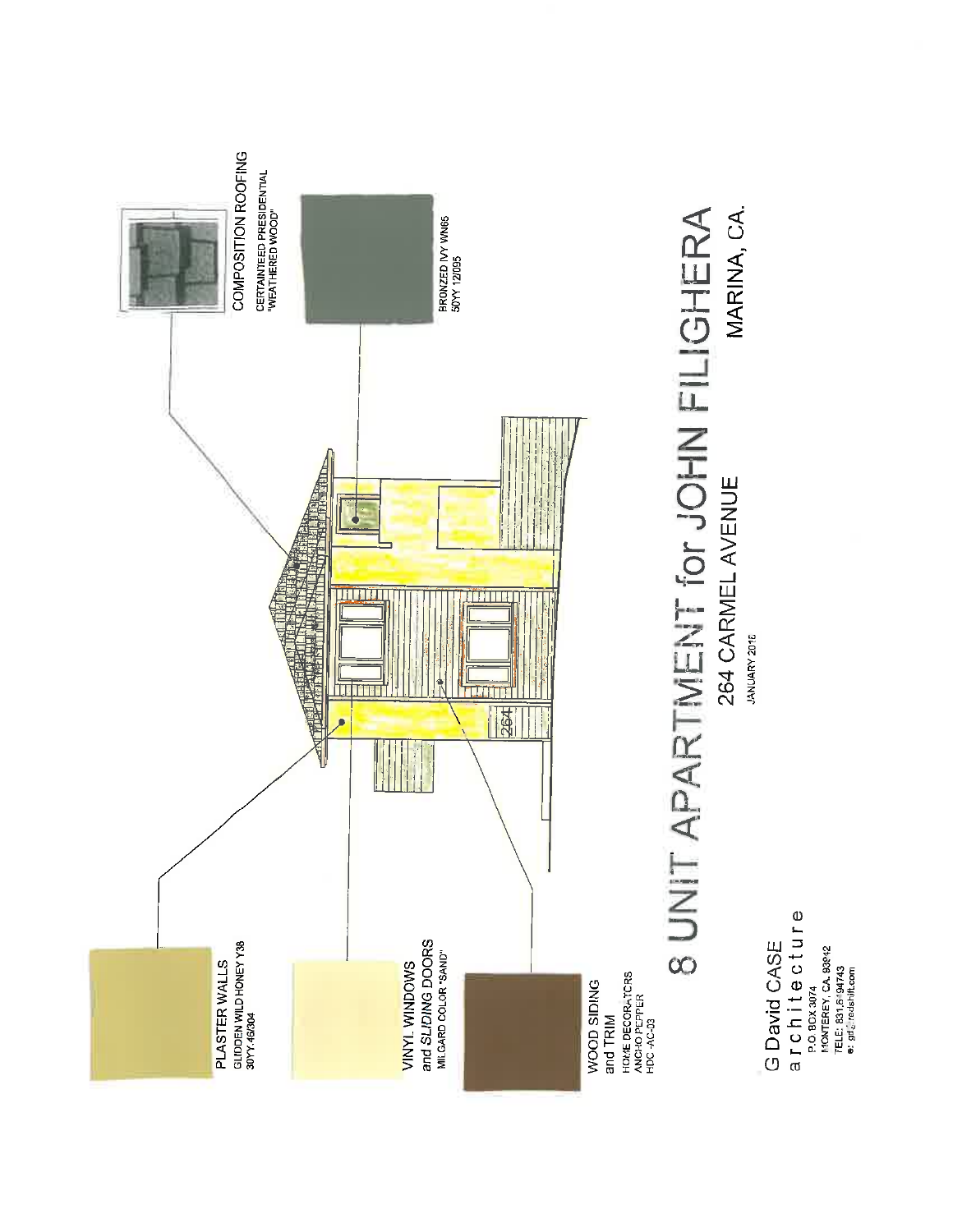

**Site Plan**



**North Elevation (viewed from Carmel Avenue) – Buildings A (left) and B (right)**



**East Elevation - Building A**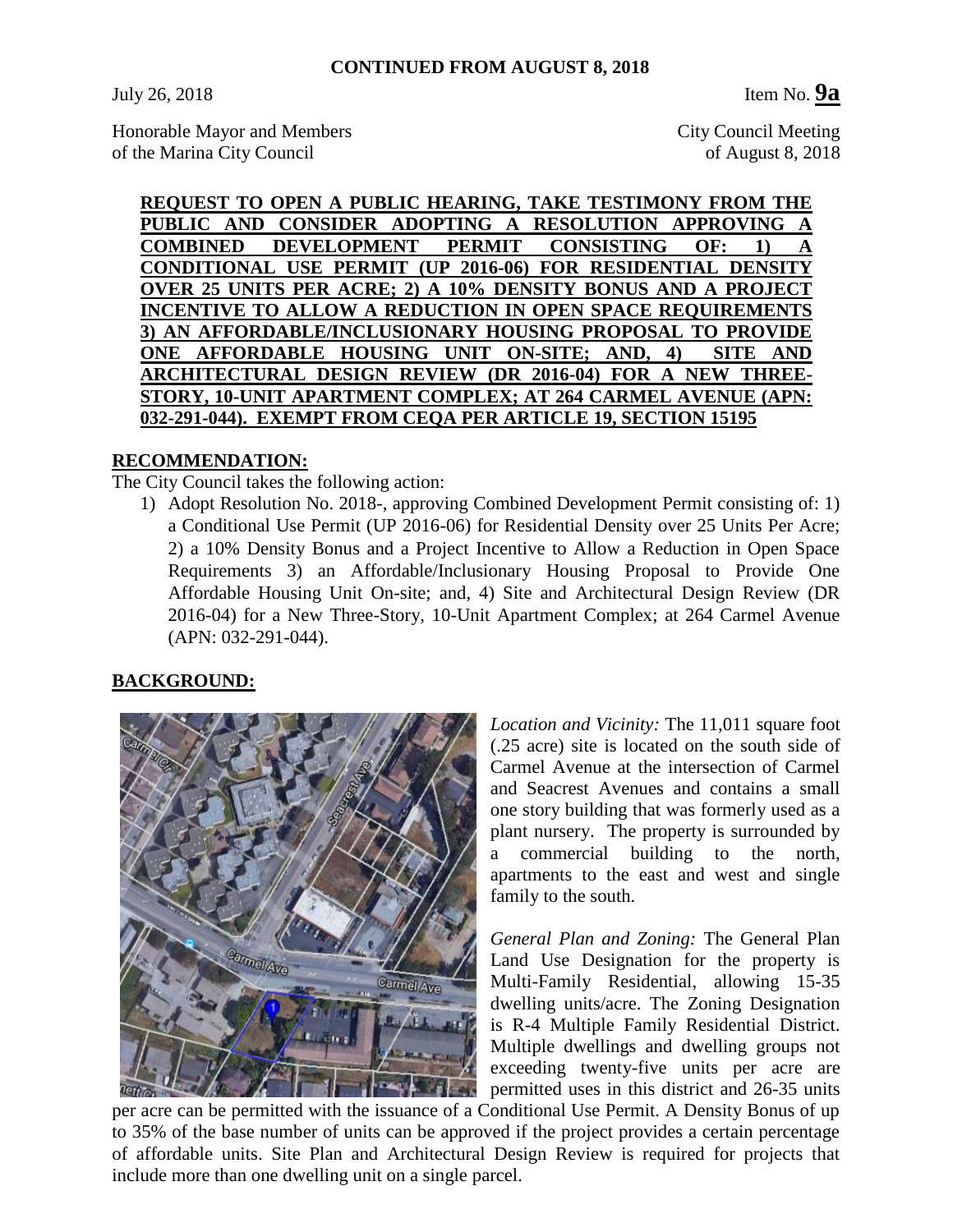

**Interior Elevation (looking east) – Building A**



**West Elevation (looking east) – Buildings B (left) and C (right)**

# CONDITIONAL USE PERMIT

The applicant is requesting to provide the maximum density of 35 UPA for a total of nine units. The Marina Municipal Code requires a Conditional Use Permit (CUP) to exceed 25 UPA in the R-4 zoning district. No specific requirements are discussed in the Code beyond the standard findings for approval of a CUP as analyzed under the Findings section below.

# DENSITY BONUS

The project voluntarily proposes to dedicate 1 unit (10 percent of the project) for "low income" residents, and therefore pursuant to Government Code 65915(f)(2) the project is entitled to a Density Bonus up to 35% under state law and two project incentives, as shown on the following chart.

| Percentage Low-Income Units | Percentage Density Bonus |
|-----------------------------|--------------------------|
| 10                          | 20                       |
| 11                          | 21.5                     |
| 12                          | 23                       |
| 13                          | 24.5                     |
| 14                          | 26                       |
| 15                          | 27.5                     |
| 17                          | 30.5                     |
| 18                          | 32                       |
| 19                          | 33.5                     |
| 20                          | 35                       |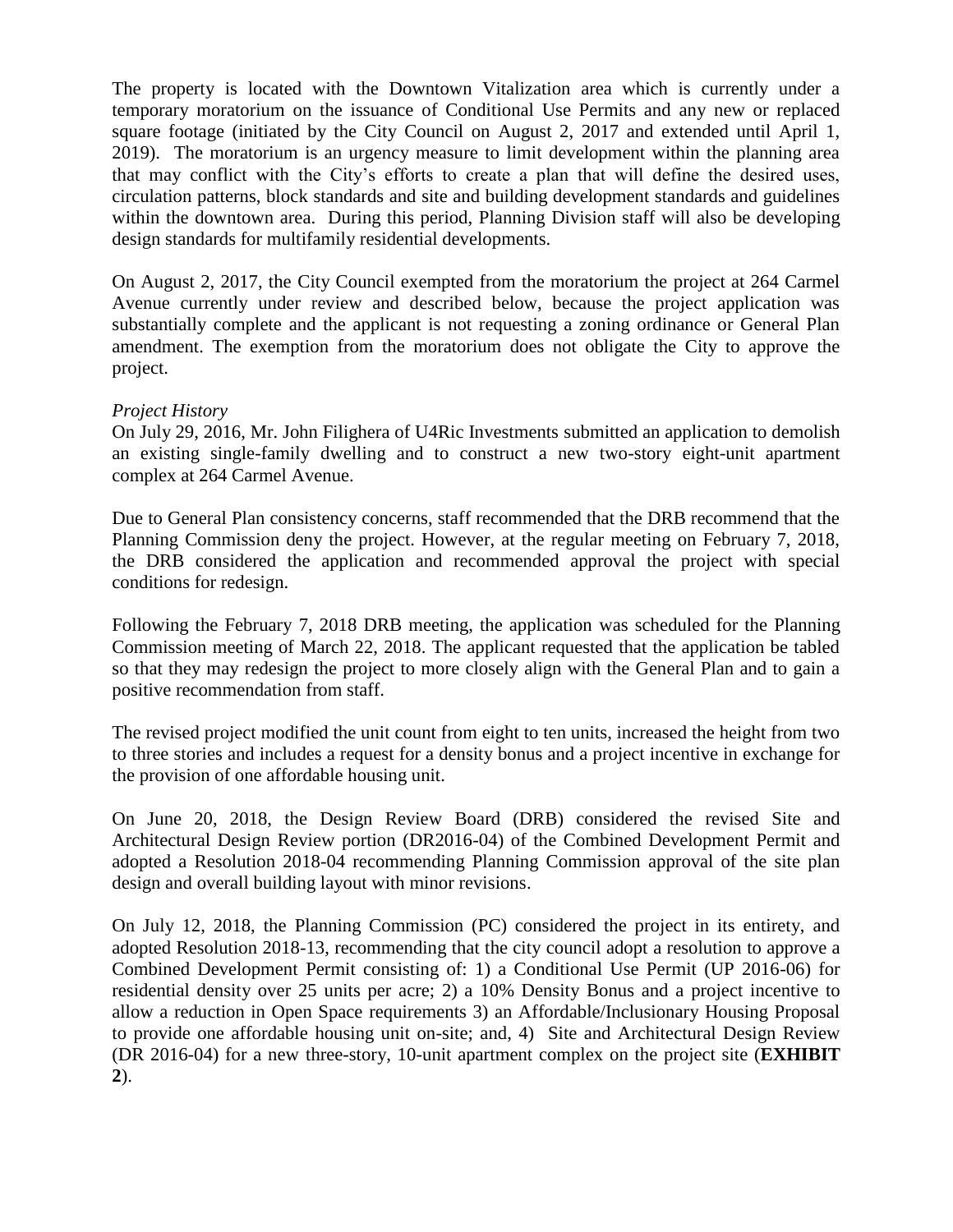#### *Government Code 65915(f)(2)*

Although permitted to request a 20% Density Bonus, the project is only requesting a Density Bonus of 10% or 1 additional unit (for a total of 10 units) and a project incentive to allow for a reduction in required open space. Discussion on incentive requests is contained below under "Zoning Consistency".

### ZONING CONSISTENCY – DEVELOPMENT STANDARDS

The proposed project, as designed and with the approval of a density bonus, is consistent with all applicable development standards except for open space (see separate section below).

### SITE DENSITY/NUMBER OF UNITS

The maximum allowable density in the Multi-Family land use designation is 35 UPA. Based on a parcel size of .25 acres, this site would be allowed a total of 9 units. The project proposes the construction of 10 total units, of which 1 unit (10%) is proposed to be "low income".

Per state law, projects that provide 10% or more of low-income units shall be granted a density bonus of 20% of the number of base units and one project incentive. Based on a maximum density of 9 units for the site, the 20% density bonus would allow an additional 2 units for a total of 11 units on the site. The project is requesting a density bonus of 10% or 1 unit, for a total development of 10 units.

### OPEN SPACE

The "R-4" development standards (MMC Section 17.20.040 – Open space, common and private) requires that multiple-family residential developments provide 350 square feet of total open space per one-bedroom unit. Of the 350 square feet of open space required, each unit must include private open space (80 square feet for ground floor and 40 square feet for upper levels). The balance of the total required open space is shared in common. For a 10-unit apartment complex to meet this requirement, the total combined private and common open space to be provided is 3500 square feet.

As proposed, the project meets and exceeds the minimum private open space requirements. Because of the lot size and shape as well as a desire to provide more than the minimum required parking (discussed below), the applicant is requesting an incentive to reduce the required open space by 834 square feet (2991 square feet is required by code).

The provision of affordable units is consistent with General Plan policy 2.31.2, which states: *"To ensure that housing continues to be available to households of lower income in Marina, affordable housing shall be provided pursuant to the inclusionary housing requirement of the Housing Element of this plan".* 

The City of Marina Housing Element 2015-2023, Chapter 2 – Needs Assessment, Table 28 "*Regional Housing Needs Allocation (2014-2023) – City of Marina*" identifies the City's need of "low income" housing to be 205 units. The project is proposing to supply 1 of 205 units to meet this requirement; therefore, waving the minimum open space requirements in exchange for the "low income" unit is justified.

#### PARKING REQUIREMENTS

Marina Municipal Code (Section 17.44.020.D – Parking Requirements) require that multiple dwelling projects (apartments) provide one parking space (covered) for each one-bedroom unit, plus 1 additional space for every five units or fraction thereof. Based on a proposal of 10 one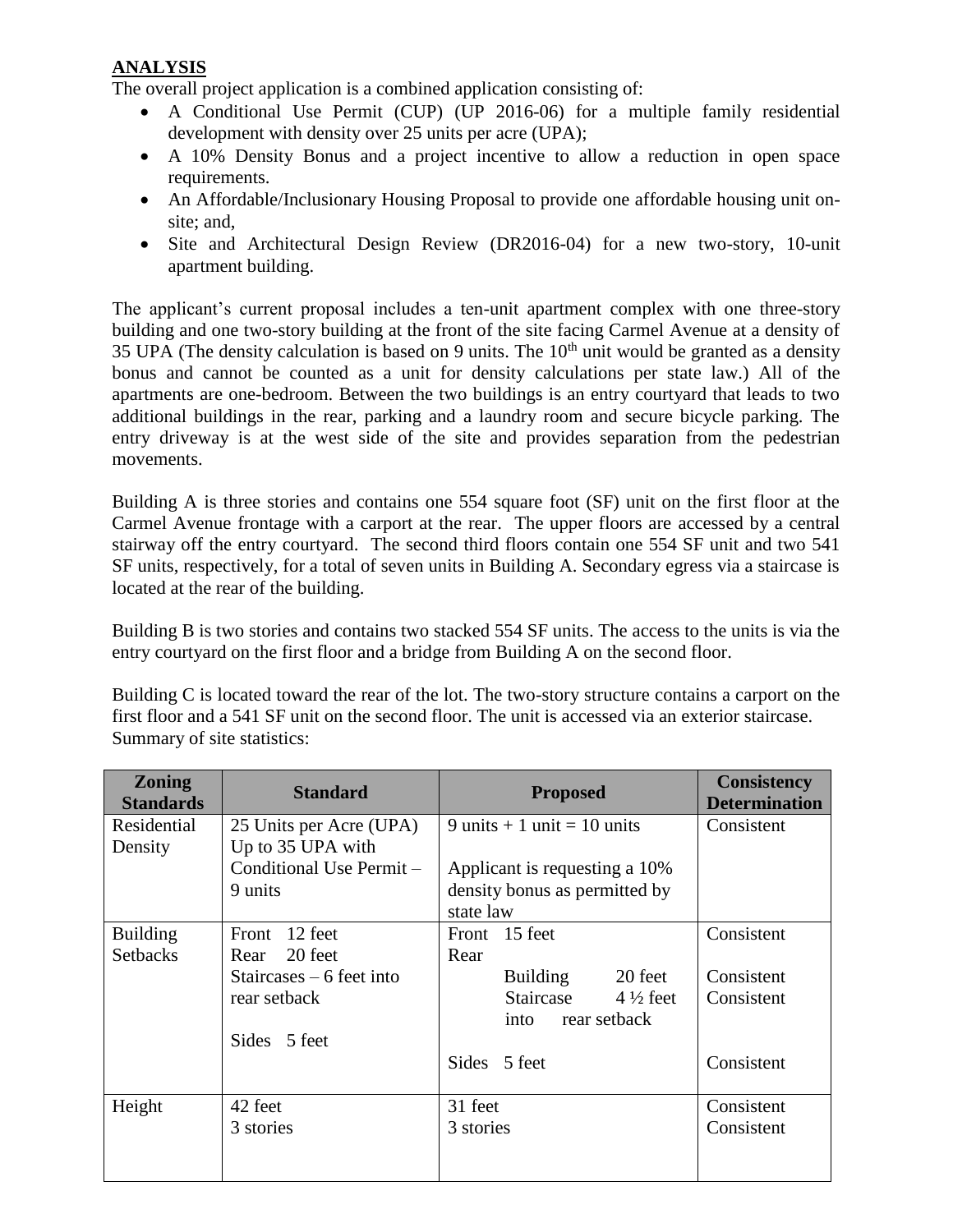bedroom units the total required parking spaces is 12 total spaces, of which two should be reserved for visitor parking.

Per Government Code 65915(p)(2)...if a development includes the maximum percentage of "low income" or "very low income" units and is located within one-half (0.5) miles of a major transit stop…and there is unobstructed access to the major transit stop from the development, then, upon request of the developer, a city, county, or city and county, shall not impose a vehicular parking ratio, inclusive of handicapped and guest parking, that exceeds 0.5 spaces per bedroom.

The project provides the required amount of "low income" housing for the proposed development and within one-half mile of the MST transit stop; therefore, the parking requirement is 0.5 spaces per bedroom. The proposal includes ten (10) total bedrooms and is required to provide five (5) parking spaces. As designed the project includes nine (9) total parking spaces, exceeding the five (5)-space requirement. The provision of parking spaces is in compliance with applicable regulations.

Marina Municipal Code (Section 17.44.070.D – General Requirements), states all parking spaces shall be a minimum of nine (9) feet by nineteen (19) feet. The Project proposes to construct all parking spaces in compliance with this regulation.

## SITE AND ARCHITECTURAL DESIGN REVIEW

## Site Plan

The site plan presented is a refreshing departure from the typical pattern seen in existing mid to late 20<sup>th</sup> Century apartment complexes in Marina. The buildings are clustered at the front of the site and the parking is located behind and under the buildings. The driveway is offset and located at the far west of the site. The public sidewalk is connected to the project via a separate entry courtyard. A detached trash enclosure is proposed at the middle of the site and set back significantly from the street. An existing stone wall at the east side of the site is proposed to be retained.

## Building Elevations, Materials and Colors

The project proposes a suburban form for the complex with low-pitched hip roofs and stacked massing relieved by full height bays at the front elevation and covered and uncovered decks at the second story. Although no unit has an entrance directly off the street elevation, the ground floor units for the front building are accessed by an entry courtyard. The projecting bays with tripartite windows and front facing covered decks add a pedestrian element to the building that relate well to the street.

Vertical elements at the east elevation break up the horizontal massing of the structure. Bellybands are included at all levels to added definition to the vertical massing. The west elevation of the three-story structure includes individual entry features that add a sense of arrival. Site lighting is limited to wall-mounted fixtures adjacent to each unit and on porches with can lighting under the long balconies facing the parking lot and with the carports.

*Conceptual Landscape/Hardscape Plan* Sheet L1.0 of the applicant's package includes the Landscape and Irrigation Plans. The street frontage is proposed to be planted with three Gold Medallion trees, one Coast Live Oak, seven Victorian Box and four Southern Mamgnioa. Accent shrubs and groundcover will primarily be Agapanthus, Bergenia, Sedge, Ceanothus, Manzanita, Sea Lavender and Groundcover Rose.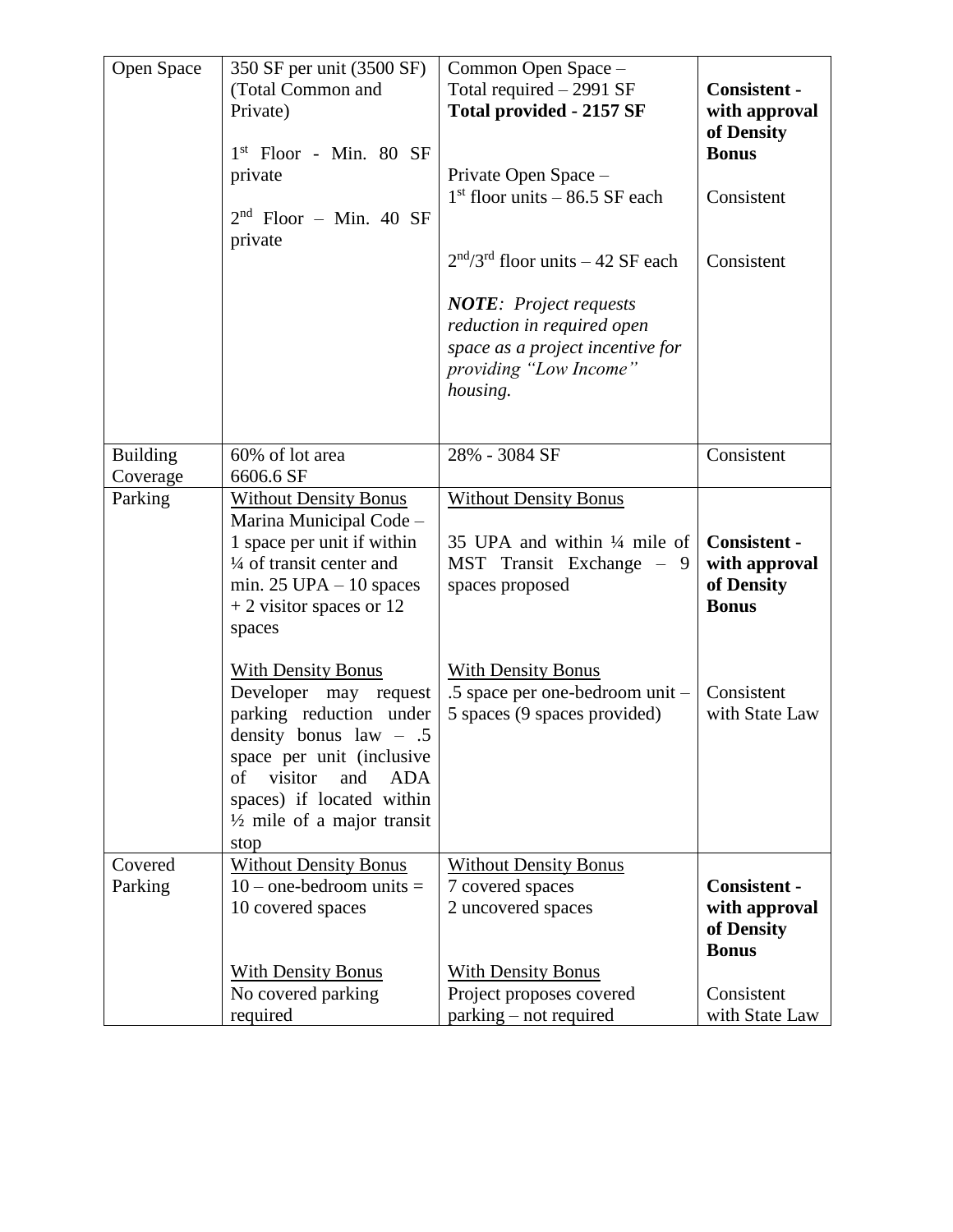### **REQUIRED FINDINGS:**

### *1. The project must be consistent with the General Plan and Zoning Ordinance.*

The project is consistent with the General Plan Land Use designation of Multi-family residential and the R-4 zoning designation in that the project proposes a multi-family development of more than 15 and less than 35 units per acre. The project is consistent with the General Plan and Zoning Ordinance as explained below.

### **General Plan - Community Goals**

General Plan Goal 1.17 states "The overall goal of the Marina General Plan is the creation of a community which provides a high quality of life for all its residents; which offers a broad range of housing, transportation, and recreation choices; and which conserves irreplaceable natural resources is the overall goal of the General Plan." Subsequent subgoals direct how the city is to develop in order to meet this goal as follows:

- Goal 1.18.5 calls for "A city designed for and attractive to pedestrians, in which most of the housing, shops, businesses, and community facilities are within easy walking distance of each other."
- Goal 1.18.8 envisions "A city physically and visually distinguish-able from the other communities of the Monterey Bay region, with a sense of place and identity in which residents can take pride."
- Goal 1.18.15 sees "Attractive, distinctive residential neighborhoods and commercial districts which contribute to the overall vitality, image and identity of the city.

## *Community Land Use Policies*

• Policy 2.4.5 "Future land development, whether it involves development of new areas, infilling of existing neighborhoods or commercial areas…shall be organized and have sufficient intensity…to create a pedestrian-oriented community."

## *Housing Policies*

- Policy 2.31.6 "New housing shall be constructed at densities and in patterns which conserve land, reduce reliance on the private automobile and result in walkable, attractive neighborhoods."
- Policy 2.31.8 "New housing shall be integrated into the fabric of the City in such a way that it complements existing housing areas and contributes to the overall stability, image, and sense of community of the City."

## **General Plan - Community Infrastructure**

## *Transit and Supportive Land Use Polices*

- Policy 3.35.1 "Safe and secure bicycle parking shall...be provided in all new multifamily residential projects."
- Policy 3.38.6 "Internal Circulation. Parking lots should be attractively landscaped and the pedestrian circulation paths clearly evident to provide direct, well lit, internal pedestrian circulation networks provided to building entrances, adjacent public rights-of-way and public transit.

The project meets the spirit and intent of the above goals and policies of the General Plan in that:

e. The façade of the project is set back from the street as required by the development standards for the zoning district. To help to create a "street wall", the applicant has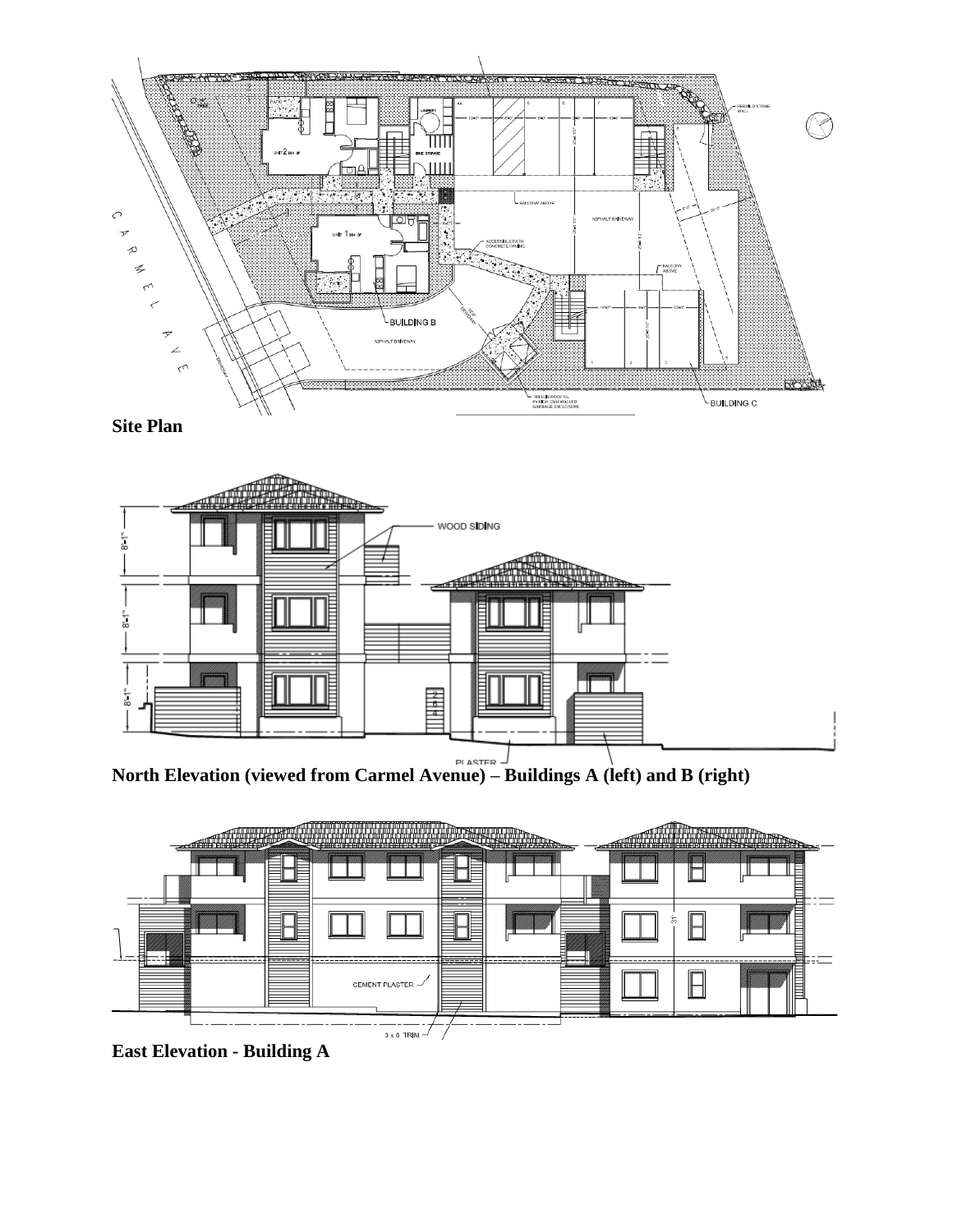added additional height to one of the front buildings and a more human scale element in the bay projection and pedestal base.

- f. The project is oriented so that the building address the street. Although no entrances are directly off Carmel Avenue, covered porched and the bay projection gives the impression of a forward-facing façade. This helps to create an image of vitality that is gained with units that orient toward public spaces.
- g. The site plan and unit orientation enhances the desired pedestrian environment with the proposed entry courtyard that is physically separated from the vehicular driveway.
- h. Designated bike parking is provided.

## **Zoning Ordinance**

With approval of a density bonus incentive for open space, the project meets the requirements of the Zoning Ordinance as shown in the table above.

## *2. The project must be consistent with the Citywide Design Standards and Guidelines.*

The project is consistent with the Citywide Standards and Guidelines. In particular, a performance objective for sites and parking lots is that site and parking plans shall provide for adequate and safe pedestrian and vehicular traffic. An associated design guideline states:

*"With the exception of the portion of entrance drives in the street right-of-way and the intersections of pedestrian and vehicular traffic, driveways and parking areas shall be surrounded by a six (6) inch concrete curb or alternative approved by the Design Review Board that will separate pedestrian and vehicular movement and will help protect safety of pedestrians, landscape plantings and buildings or other site features which might be damaged by vehicular movements. Further, pedestrian movement should be separated from drives by landscaped strips a minimum width of four (4) feet."*

The project provides a buffer between the vehicle drive and the pedestrian entrance. Residents and visitors may enter the site safely from the sidewalk and also have a clear path from the carport and parking areas to the residences. Therefore, the project is consistent with this guideline that is intended to provide safety to pedestrians.

*3. The project must be designed and constructed, and so located, that the project will not be unsightly, undesirable or obnoxious in appearance to the extent that they will hinder the orderly and harmonious development of the city, impair the desirability of residence or investment or occupation in the city, limit the opportunity to obtain the optimum use and value of the land and improvements, impair the desirability of living conditions on or adjacent to the subject site, conform with the standards included in the local coastal land use plan and/or otherwise adversely affect the general welfare of the community.*

This project will set an example for future multifamily development in the City of Marina by way of enhanced design, pedestrian instead of vehicular orientation and resident amenities.

## **ENVIRONMENTAL DETERMINATION:**

The City of Marina Planning Division determined the project is exempt from the California Environmental Quality Act (CEQA) Guidelines (Article 12.5, Section 15195) applicable to residential infill developments that provides: less than 100 units; a project density above 20 units per acre; and at least 10% affordable housing. There is no reasonable possibility that the project will have a project-specific, significant effect on the environment due to unusual circumstances. No further environmental review is necessary.